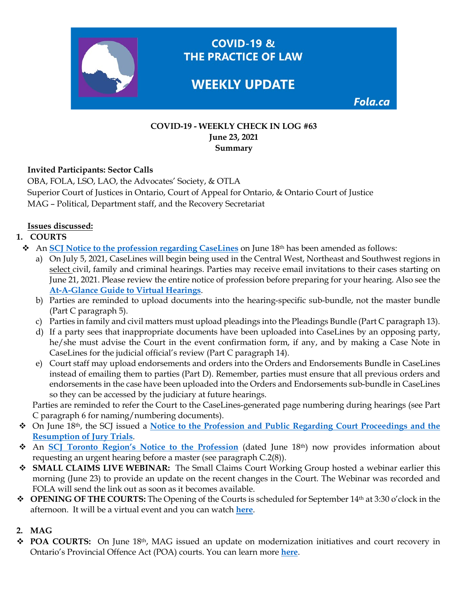

**COVID-19 &** THE PRACTICE OF LAW

# **WEEKLY UPDATE**

Fola.ca

#### **COVID-19 - WEEKLY CHECK IN LOG #63 June 23, 2021 Summary**

### **Invited Participants: Sector Calls**

OBA, FOLA, LSO, LAO, the Advocates' Society, & OTLA Superior Court of Justices in Ontario, Court of Appeal for Ontario, & Ontario Court of Justice MAG – Political, Department staff, and the Recovery Secretariat

### **Issues discussed:**

# **1. COURTS**

- An **[SCJ Notice to the profession regarding CaseLines](https://www.ontariocourts.ca/scj/notices-and-orders-covid-19/supplementary-notice-september-2-2020/)** on June 18th has been amended as follows:
	- a) On July 5, 2021, CaseLines will begin being used in the Central West, Northeast and Southwest regions in select civil, family and criminal hearings. Parties may receive email invitations to their cases starting on June 21, 2021. Please review the entire notice of profession before preparing for your hearing. Also see the **[At-A-Glance Guide to Virtual Hearings](https://www.ontariocourts.ca/scj/notices-and-orders-covid-19/guide-to-virtual-hearings/)**.
	- b) Parties are reminded to upload documents into the hearing-specific sub-bundle, not the master bundle (Part C paragraph 5).
	- c) Parties in family and civil matters must upload pleadings into the Pleadings Bundle (Part C paragraph 13).
	- d) If a party sees that inappropriate documents have been uploaded into CaseLines by an opposing party, he/she must advise the Court in the event confirmation form, if any, and by making a Case Note in CaseLines for the judicial official's review (Part C paragraph 14).
	- e) Court staff may upload endorsements and orders into the Orders and Endorsements Bundle in CaseLines instead of emailing them to parties (Part D). Remember, parties must ensure that all previous orders and endorsements in the case have been uploaded into the Orders and Endorsements sub-bundle in CaseLines so they can be accessed by the judiciary at future hearings.

Parties are reminded to refer the Court to the CaseLines-generated page numbering during hearings (see Part C paragraph 6 for naming/numbering documents).

- On June 18th, the SCJ issued a **[Notice to the Profession and Public Regarding Court Proceedings and the](https://www.ontariocourts.ca/scj/notices-and-orders-covid-19/court-proceedings-notice/)  [Resumption of Jury Trials](https://www.ontariocourts.ca/scj/notices-and-orders-covid-19/court-proceedings-notice/)**.
- An **[SCJ Toronto Region's Notice to the Profession](https://www.ontariocourts.ca/scj/notices-and-orders-covid-19/notice-to/#C_Civil_Matters)** (dated June 18th) now provides information about requesting an urgent hearing before a master (see paragraph C.2(8)).
- **SMALL CLAIMS LIVE WEBINAR:** The Small Claims Court Working Group hosted a webinar earlier this morning (June 23) to provide an update on the recent changes in the Court. The Webinar was recorded and FOLA will send the link out as soon as it becomes available.
- **OPENING OF THE COURTS:** The Opening of the Courts is scheduled for September 14th at 3:30 o'clock in the afternoon. It will be a virtual event and you can watch **[here](https://www.youtube.com/watch?v=Nv4szyNI-ZY)**.

# **2. MAG**

 **POA COURTS:** On June 18th, MAG issued an update on modernization initiatives and court recovery in Ontario's Provincial Offence Act (POA) courts. You can learn more **[here](https://fola.ca/mag#a847ec9f-1b97-43fc-b42e-ebcc09e21b31)**.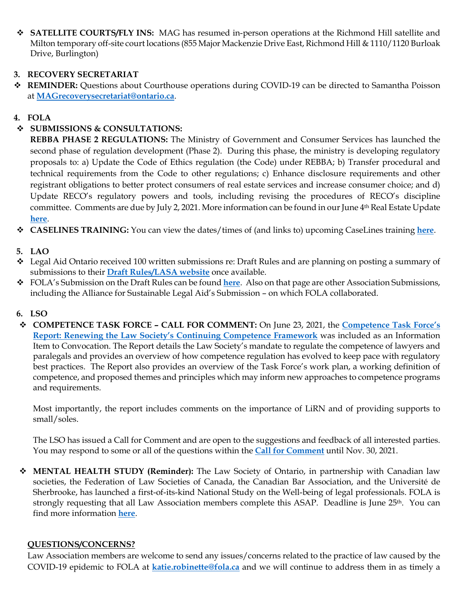$\triangle$  **SATELLITE COURTS/FLY INS:** MAG has resumed in-person operations at the Richmond Hill satellite and Milton temporary off-site court locations (855 Major Mackenzie Drive East, Richmond Hill & 1110/1120 Burloak Drive, Burlington)

### **3. RECOVERY SECRETARIAT**

 **REMINDER:** Questions about Courthouse operations during COVID-19 can be directed to Samantha Poisson at **[MAGrecoverysecretariat@ontario.ca](mailto:MAGrecoverysecretariat@ontario.ca)**.

### **4. FOLA**

## **SUBMISSIONS & CONSULTATIONS:**

**REBBA PHASE 2 REGULATIONS:** The Ministry of Government and Consumer Services has launched the second phase of regulation development (Phase 2). During this phase, the ministry is developing regulatory proposals to: a) Update the Code of Ethics regulation (the Code) under REBBA; b) Transfer procedural and technical requirements from the Code to other regulations; c) Enhance disclosure requirements and other registrant obligations to better protect consumers of real estate services and increase consumer choice; and d) Update RECO's regulatory powers and tools, including revising the procedures of RECO's discipline committee. Comments are due by July 2, 2021. More information can be found in our June 4th Real Estate Update **[here](https://img1.wsimg.com/blobby/go/63f6349d-d85d-4511-bc5f-4314d54b45d0/downloads/RE%20Update%202021.06.04.pdf?ver=1622823152646)**.

**CASELINES TRAINING:** You can view the dates/times of (and links to) upcoming CaseLines training **[here](https://fola.ca/courts#aab052d5-03f6-421f-970b-d91c9c0f0294)**.

### **5. LAO**

- Legal Aid Ontario received 100 written submissions re: Draft Rules and are planning on posting a summary of submissions to their **[Draft Rules/LASA website](https://www.lasa2020rules.ca/)** once available.
- FOLA's Submission on the Draft Rules can be found **[here](https://fola.ca/legal-aid)**. Also on that page are other Association Submissions, including the Alliance for Sustainable Legal Aid's Submission – on which FOLA collaborated.

#### **6. LSO**

 **COMPETENCE TASK FORCE – CALL FOR COMMENT:** On June 23, 2021, the **[Competence Task Force's](https://lawsocietyontario.azureedge.net/media/lso/media/about/convocation/2021/convocation-june-2021-competence-taskforce-report.pdf)  [Report: Renewing the Law Society's Continuing Competence Framework](https://lawsocietyontario.azureedge.net/media/lso/media/about/convocation/2021/convocation-june-2021-competence-taskforce-report.pdf)** was included as an Information Item to Convocation. The Report details the Law Society's mandate to regulate the competence of lawyers and paralegals and provides an overview of how competence regulation has evolved to keep pace with regulatory best practices. The Report also provides an overview of the Task Force's work plan, a working definition of competence, and proposed themes and principles which may inform new approaches to competence programs and requirements.

Most importantly, the report includes comments on the importance of LiRN and of providing supports to small/soles.

The LSO has issued a Call for Comment and are open to the suggestions and feedback of all interested parties. You may respond to some or all of the questions within the **[Call for Comment](https://lawsociety.forms-db.com/view.php?id=291901)** until Nov. 30, 2021.

 **MENTAL HEALTH STUDY (Reminder):** The Law Society of Ontario, in partnership with Canadian law societies, the Federation of Law Societies of Canada, the Canadian Bar Association, and the Université de Sherbrooke, has launched a first-of-its-kind National Study on the Well-being of legal professionals. FOLA is strongly requesting that all Law Association members complete this ASAP. Deadline is June 25<sup>th</sup>. You can find more information **[here](https://fola.ca/mental-health-resources#759eee00-e820-4144-8789-01964b865753)**.

#### **QUESTIONS/CONCERNS?**

Law Association members are welcome to send any issues/concerns related to the practice of law caused by the COVID-19 epidemic to FOLA at **[katie.robinette@fola.ca](mailto:katie.robinette@fola.ca)** and we will continue to address them in as timely a